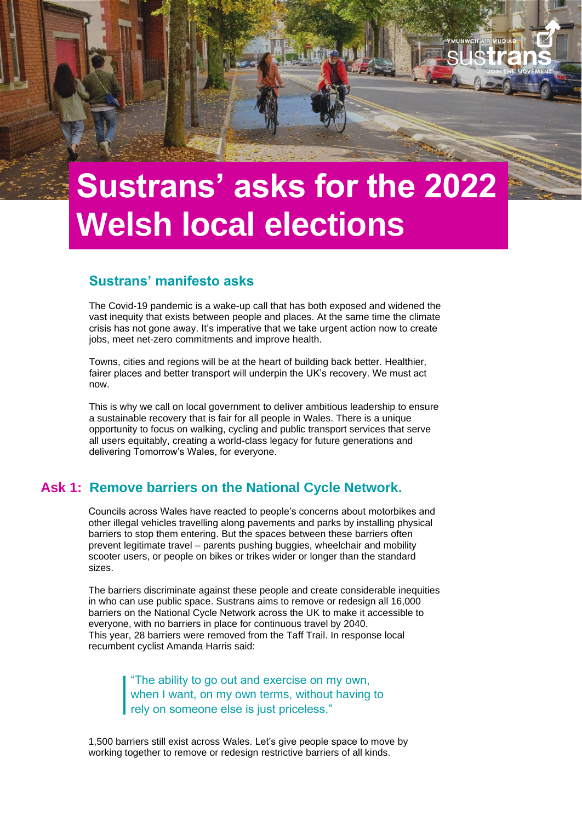

# **Welsh local elections**

### **Sustrans' manifesto asks**

The Covid-19 pandemic is a wake-up call that has both exposed and widened the vast inequity that exists between people and places. At the same time the climate crisis has not gone away. It's imperative that we take urgent action now to create jobs, meet net-zero commitments and improve health.

Towns, cities and regions will be at the heart of building back better. Healthier, fairer places and better transport will underpin the UK's recovery. We must act now.

This is why we call on local government to deliver ambitious leadership to ensure a sustainable recovery that is fair for all people in Wales. There is a unique opportunity to focus on walking, cycling and public transport services that serve all users equitably, creating a world-class legacy for future generations and delivering Tomorrow's Wales, for everyone.

# **Ask 1: Remove barriers on the National Cycle Network.**

Councils across Wales have reacted to people's concerns about motorbikes and other illegal vehicles travelling along pavements and parks by installing physical barriers to stop them entering. But the spaces between these barriers often prevent legitimate travel – parents pushing buggies, wheelchair and mobility scooter users, or people on bikes or trikes wider or longer than the standard sizes.

The barriers discriminate against these people and create considerable inequities in who can use public space. Sustrans aims to remove or redesign all 16,000 barriers on the National Cycle Network across the UK to make it accessible to everyone, with no barriers in place for continuous travel by 2040. This year, 28 barriers were removed from the Taff Trail. In response local recumbent cyclist Amanda Harris said:

> "The ability to go out and exercise on my own, when I want, on my own terms, without having to rely on someone else is just priceless."

1,500 barriers still exist across Wales. Let's give people space to move by working together to remove or redesign restrictive barriers of all kinds.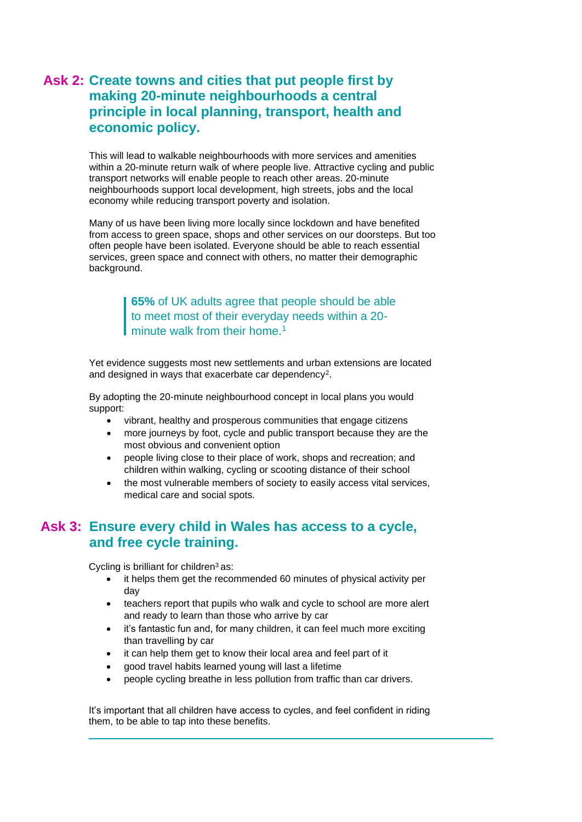# Ask 2: Create towns and cities that put people first by **making 20-minute neighbourhoods a central principle in local planning, transport, health and economic policy.**

This will lead to walkable neighbourhoods with more services and amenities within a 20-minute return walk of where people live. Attractive cycling and public transport networks will enable people to reach other areas. 20-minute neighbourhoods support local development, high streets, jobs and the local economy while reducing transport poverty and isolation.

Many of us have been living more locally since lockdown and have benefited from access to green space, shops and other services on our doorsteps. But too often people have been isolated. Everyone should be able to reach essential services, green space and connect with others, no matter their demographic background.

> **65%** of UK adults agree that people should be able to meet most of their everyday needs within a 20 minute walk from their home.<sup>1</sup>

Yet evidence suggests most new settlements and urban extensions are located and designed in ways that exacerbate car dependency<sup>2</sup>.

By adopting the 20-minute neighbourhood concept in local plans you would support:

- vibrant, healthy and prosperous communities that engage citizens
- more journeys by foot, cycle and public transport because they are the most obvious and convenient option
- people living close to their place of work, shops and recreation; and children within walking, cycling or scooting distance of their school
- the most vulnerable members of society to easily access vital services, medical care and social spots.

# **Ensure every child in Wales has access to a cycle, Ask 3:and free cycle training.**

Cycling is brilliant for children<sup>3</sup> as:

- it helps them get the recommended 60 minutes of physical activity per day
- teachers report that pupils who walk and cycle to school are more alert and ready to learn than those who arrive by car
- it's fantastic fun and, for many children, it can feel much more exciting than travelling by car
- it can help them get to know their local area and feel part of it
- good travel habits learned young will last a lifetime
- people cycling breathe in less pollution from traffic than car drivers.

It's important that all children have access to cycles, and feel confident in riding them, to be able to tap into these benefits.